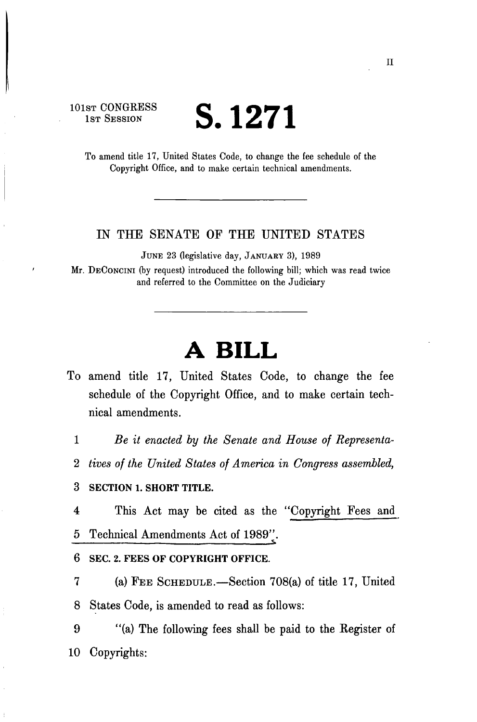**101ST CONGRESS** 

## **S.** 1271

To amend title 17, United States Code, to change the fee schedule of the Copyright Office, and to make certain technical amendments.

## LN THE SENATE OF THE UNITED STATES

JUNE 23 (legislative day, JANUARY 3), 1989

Mr. DECONCINI (by request) introduced the following bill; which was read twice and referred to the Committee on the Judiciary

## **A BILL**

To amend title 17, United States Code, to change the fee schedule of the Copyright Office, and to make certain technical amendments.

1 *Be it enacted by the Senate and House of Representa-*

2 *tives of the United States of America in Congress assembled,* 

3 **SECTION 1. SHORT TITLE.** 

4 This Act may be cited as the ''Copyright Fees and 5 Technical Amendments Act of 1989". **^** 

**6 SEC. 2. FEES OF COPYRIGHT OFFICE.** 

7 (a) FEE SCHEDULE.—Section 708(a) of title 17, United 8 States Code, is amended to read as follows:

9 "(a) The following fees shall be paid to the Register of 10 Copyrights: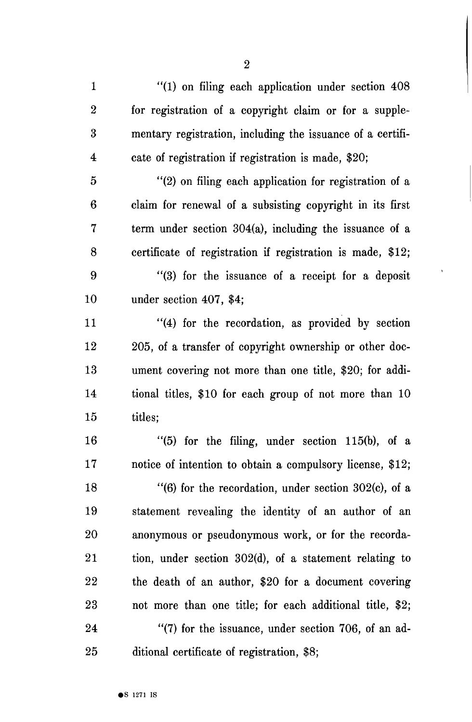1 "(1) on filing each application under section 408 2 for registration of a copyright claim or for a supple-3 mentary registration, including the issuance of a certifi-4 cate of registration if registration is made, \$20;

5 "(2) on filing each application for registration of a 6 claim for renewal of a subsisting copyright in its first 7 term under section 304(a), including the issuance of a 8 certificate of registration if registration is made, \$12;

9 "(3) for the issuance of a receipt for a deposit 10 under section 407, \$4;

11 "(4) for the recordation, as provided by section 12 205, of a transfer of copyright ownership or other doc-13 ument covering not more than one title, \$20; for addi-14 tional titles, \$10 for each group of not more than 10 15 titles;

16 "(5) for the filing, under section 115(b), of a 17 notice of intention to obtain a compulsory license, \$12;

18 "(6) for the recordation, under section 302(c), of a 19 statement revealing the identity of an author of an 20 anonymous or pseudonymous work, or for the recorda-21 tion, under section 302(d), of a statement relating to 22 the death of an author, \$20 for a document covering 23 not more than one title; for each additional title, \$2; 24 "(7) for the issuance, under section 706, of an ad-25 ditional certificate of registration, \$8;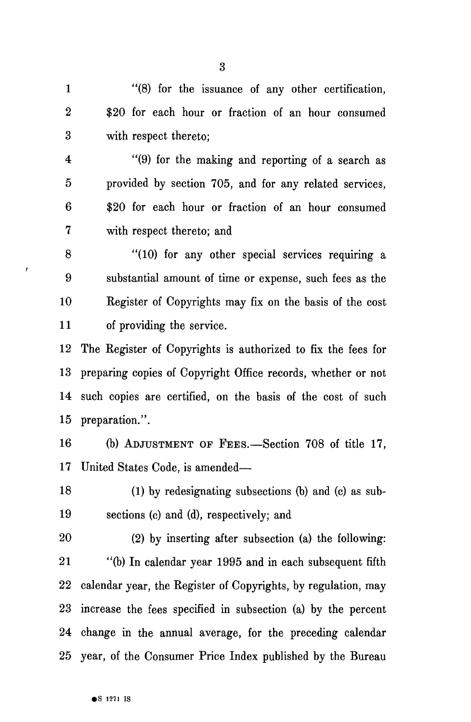1 "(8) for the issuance of any other certification, 2 \$20 for each hour or fraction of an hour consumed 3 with respect thereto;

4 "(9) for the making and reporting of a search as 5 provided by section 705, and for any related services, 6 \$20 for each hour or fraction of an hour consumed 7 with respect thereto; and

8 "(10) for any other special services requiring a 9 substantial amount of time or expense, such fees as the 10 Register of Copyrights may fix on the basis of the cost 11 of providing the service.

12 The Register of Copyrights is authorized to fix the fees for 13 preparing copies of Copyright Office records, whether or not 14 such copies are certified, on the basis of the cost of such 15 preparation.".

16 (b) ADJUSTMENT OF FEES.—Section 708 of title 17, 17 United States Code, is amended—

18 (1) by redesignating subsections (b) and (c) as sub-19 sections (c) and (d), respectively; and

20 (2) by inserting after subsection (a) the following: 21 "(b) In calendar year 1995 and in each subsequent fifth 22 calendar year, the Register of Copyrights, by regulation, may 23 increase the fees specified in subsection (a) by the percent 24 change in the annual average, for the preceding calendar 25 year, of the Consumer Price Index published by the Bureau

ï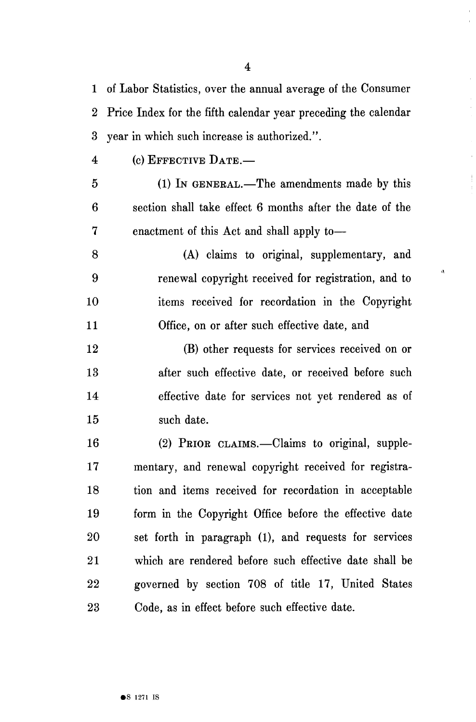1 of Labor Statistics, over the annual average of the Consumer 2 Price Index for the fifth calendar year preceding the calendar 3 year in which such increase is authorized.".

4 (c) EFFECTIVE DATE.—

5 (1) IN GENERAL.—The amendments made by this 6 section shall take effect 6 months after the date of the 7 enactment of this Act and shall apply to—

8 (A) claims to original, supplementary, and 9 renewal copyright received for registration, and to 10 items received for recordation in the Copyright 11 Office, on or after such effective date, and

 $\hat{\mathbf{u}}$ 

12 (B) other requests for services received on or 13 after such effective date, or received before such 14 effective date for services not yet rendered as of 15 such date.

16 (2) PRIOR CLAIMS.—Claims to original, supple-17 mentary, and renewal copyright received for registra-18 tion and items received for recordation in acceptable 19 form in the Copyright Office before the effective date 20 set forth in paragraph (1), and requests for services 21 which are rendered before such effective date shall be 22 governed by section 708 of title 17, United States 23 Code, as in effect before such effective date.

4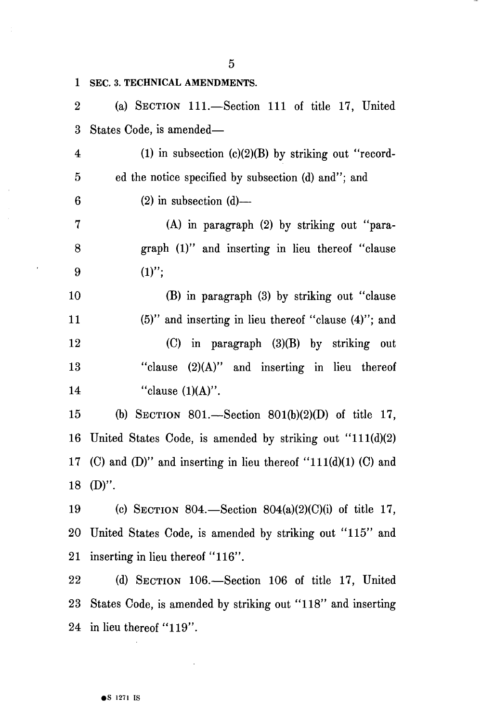1 SEC. 3. TECHNICAL AMENDMENTS. 2 (a) SECTION 111.—Section 111 of title 17, United 3 States Code, is amended— 4 (1) in subsection (c)(2)(B) by striking out "record-5 ed the notice specified by subsection (d) and"; and  $6$  (2) in subsection (d)— 7 (A) in paragraph (2) by striking out "para-8 graph (1)" and inserting in lieu thereof "clause  $9 \t(1)''$ ; 10 (B) in paragraph (3) by striking out "clause 11 (5)" and inserting in lieu thereof "clause (4)"; and 12 (C) in paragraph (3)(B) by striking out 13 "clause (2)(A)" and inserting in lieu thereof 14 "clause  $(1)(A)$ ". 15 (b) SECTION 801.—Section 801(b)(2)(D) of title 17, 16 United States Code, is amended by striking out "111(d)(2) 17 (C) and (D)" and inserting in lieu thereof "111(d)(1) (C) and 18 (D)". 19 (c) SECTION 804.—Section 804(a)(2)(C)(i) of title 17, 20 United States Code, is amended by striking out "115" and

22 (d) SECTION 106.—Section 106 of title 17, United 23 States Code, is amended by striking out "118" and inserting 24 in lieu thereof "119".

21 inserting in lieu thereof "116".

5